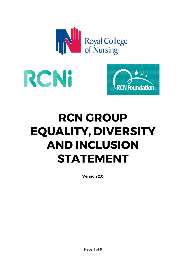





# **RCN GROUP EQUALITY, DIVERSITY AND INCLUSION STATEMENT**

**Version 2.0**

Page **1** of **6**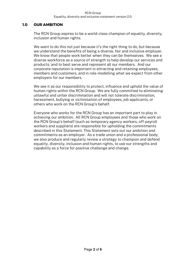#### RCN Group Equality, diversity and inclusion statement version 2.0.

### **1.0 OUR AMBITION**

The RCN Group aspires to be a world-class champion of equality, diversity, inclusion and human rights.

We want to do this not just because it's the right thing to do, but because we understand the benefits of being a diverse, fair and inclusive employer. We know that people work better when they can be themselves. We see a diverse workforce as a source of strength to help develop our services and products, and to best serve and represent all our members. And our corporate reputation is important in attracting and retaining employees, members and customers, and in role-modelling what we expect from other employers for our members.

We see it as our responsibility to protect, influence and uphold the value of human rights within the RCN Group. We are fully committed to eliminating unlawful and unfair discrimination and will not tolerate discrimination, harassment, bullying or victimisation of employees, job applicants, or others who work on the RCN Group's behalf.

Everyone who works for the RCN Group has an important part to play in achieving our ambition. All RCN Group employees and those who work on the RCN Group's behalf (such as temporary agency workers, off-payroll workers and suppliers) are responsible for upholding the commitments described in this Statement. This Statement sets out our ambition and commitments as an employer. As a trade union and a professional body, we also produce and regularly review a strategy to champion and defend equality, diversity, inclusion and human rights, to use our strengths and capability as a force for positive challenge and change.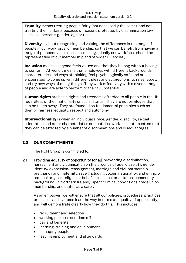**Equality** means treating people fairly (not necessarily the same), and not treating them unfairly because of reasons protected by discrimination law such as a person's gender, age or race.

**Diversity** is about recognising and valuing the differences in the range of people in our workforce, or membership, so that we can benefit from having a range of perspectives in decision-making. Ideally our workforce should be representative of our membership and of wider UK society.

**Inclusion** means everyone feels valued and that they belong without having to conform. At work it means that employees with different backgrounds, characteristics and ways of thinking feel psychologically safe and are encouraged to come up with different ideas and suggestions, to raise issues, and try new ways of doing things. They work effectively with a diverse range of people and are able to perform to their full potential.

**Human rights** are basic rights and freedoms afforded to all people in the UK regardless of their nationality or social status. They are not privileges that can be taken away. They are founded on fundamental principles such as dignity, fairness, equality, respect and autonomy.

**Intersectionality** is when an individual's race, gender, disability, sexual orientation and other characteristics or identities overlap or 'intersect' so that they can be affected by a number of discriminations and disadvantages.

# **2.0 OUR COMMITMENTS**

The RCN Group is committed to:

2.1 Providing equality of opportunity for all, preventing discrimination, harassment and victimisation on the grounds of age, disability, gender identity/ expression/ reassignment, marriage and civil partnership, pregnancy and maternity, race (including colour, nationality, and ethnic or national origins), religion or belief, sex, sexual orientation, community background (in Northern Ireland), spent criminal convictions, trade union membership, and status as a carer.

As an employer, we will ensure that all our policies, procedures, practices, processes and systems lead the way in terms of equality of opportunity, and will demonstrate clearly how they do this. This includes:

- recruitment and selection
- working patterns and time off
- pay and benefits
- learning, training and development,
- managing people
- leaving employment and afterwards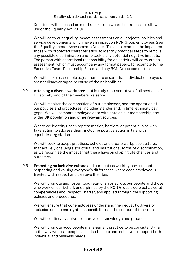#### RCN Group Equality, diversity and inclusion statement version 2.0.

Decisions will be based on merit (apart from where limitations are allowed under the Equality Act 2010).

We will carry out equality impact assessments on all projects, policies and service developments which have an impact on RCN Group employees (see the Equality Impact Assessments Guide). This is to examine the impact on those with protected characteristics, to identify practical steps to remove any possible discrimination and to tackle any potential negative impacts. The person with operational responsibility for an activity will carry out an assessment, which must accompany any formal papers, for example to the Executive Team, Partnership Forum and any RCN Group committee.

We will make reasonable adjustments to ensure that individual employees are not disadvantaged because of their disabilities.

2.2 Attaining a diverse workforce that is truly representative of all sections of UK society, and of the members we serve.

We will monitor the composition of our employees, and the operation of our policies and procedures, including gender and, in time, ethnicity pay gaps. We will compare employee data with data on our membership, the wider UK population and other relevant sources.

Where we identify under-representation, barriers, or potential bias we will take action to address them, including positive action in line with equalities legislation.

We will seek to adopt practices, policies and create workplace cultures that actively challenge structural and institutional forms of discrimination, as we recognise the impact that these have on shaping life chances and outcomes.

2.3 Promoting an inclusive culture and harmonious working environment, respecting and valuing everyone's differences where each employee is treated with respect and can give their best.

We will promote and foster good relationships across our people and those who work on our behalf, underpinned by the RCN Group's core behavioural competencies and Respect Charter, and applied through the supporting policies and procedures.

We will ensure that our employees understand their equality, diversity, inclusion and human rights responsibilities in the context of their roles.

We will continually strive to improve our knowledge and practice.

We will promote good people management practice to be consistently fair in the way we treat people, and also flexible and inclusive to support both individual and business needs.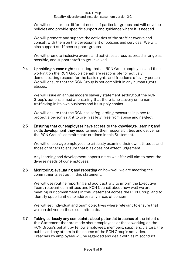#### RCN Group Equality, diversity and inclusion statement version 2.0.

We will consider the different needs of particular groups and will develop policies and provide specific support and guidance where it is needed.

We will promote and support the activities of the staff networks and consult with them on the development of policies and services. We will also support staff peer support groups.

We will promote inclusive events and activities across as broad a range as possible, and support staff to get involved.

2.4 Upholding human rights ensuring that all RCN Group employees and those working on the RCN Group's behalf are responsible for actively demonstrating respect for the basic rights and freedoms of every person. We will ensure that the RCN Group is not complicit in any human rights abuses.

We will issue an annual modern slavery statement setting out the RCN Group's actions aimed at ensuring that there is no slavery or human trafficking in its own business and its supply chains.

We will ensure that the RCN has safeguarding measures in place to protect a person's right to live in safety, free from abuse and neglect.

2.5 Ensuring that our employees have access to the knowledge, learning and skills development they need to meet their responsibilities and deliver on the RCN Group's commitments outlined in this Statement.

We will encourage employees to critically examine their own attitudes and those of others to ensure that bias does not affect judgement.

Any learning and development opportunities we offer will aim to meet the diverse needs of our employees.

2.6 Monitoring, evaluating and reporting on how well we are meeting the commitments set out in this statement.

We will use routine reporting and audit activity to inform the Executive Team, relevant committees and RCN Council about how well we are meeting our commitments in this Statement across the RCN Group, and to identify opportunities to address any areas of concern.

We will set individual and team objectives where relevant to ensure that we can deliver on these commitments.

2.7 Taking seriously any complaints about potential breaches of the intent of this Statement that are made about employees or those working on the RCN Group's behalf, by fellow employees, members, suppliers, visitors, the public and any others in the course of the RCN Group's activities. Breaches by employees will be regarded and dealt with as misconduct.